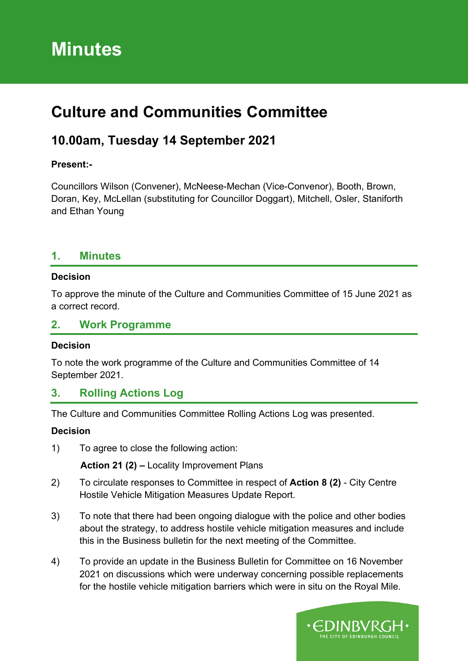# **Minutes**

# **Culture and Communities Committee**

## **10.00am, Tuesday 14 September 2021**

#### **Present:-**

Councillors Wilson (Convener), McNeese-Mechan (Vice-Convenor), Booth, Brown, Doran, Key, McLellan (substituting for Councillor Doggart), Mitchell, Osler, Staniforth and Ethan Young

#### **1. Minutes**

#### **Decision**

To approve the minute of the Culture and Communities Committee of 15 June 2021 as a correct record.

#### **2. Work Programme**

#### **Decision**

To note the work programme of the Culture and Communities Committee of 14 September 2021.

## **3. Rolling Actions Log**

The Culture and Communities Committee Rolling Actions Log was presented.

#### **Decision**

1) To agree to close the following action:

**Action 21 (2) –** Locality Improvement Plans

- 2) To circulate responses to Committee in respect of **Action 8 (2)** City Centre Hostile Vehicle Mitigation Measures Update Report.
- 3) To note that there had been ongoing dialogue with the police and other bodies about the strategy, to address hostile vehicle mitigation measures and include this in the Business bulletin for the next meeting of the Committee.
- 4) To provide an update in the Business Bulletin for Committee on 16 November 2021 on discussions which were underway concerning possible replacements for the hostile vehicle mitigation barriers which were in situ on the Royal Mile.

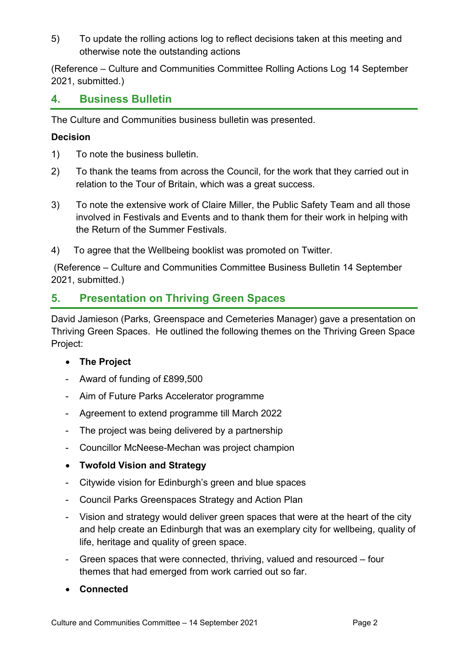5) To update the rolling actions log to reflect decisions taken at this meeting and otherwise note the outstanding actions

(Reference – Culture and Communities Committee Rolling Actions Log 14 September 2021, submitted.)

#### **4. Business Bulletin**

The Culture and Communities business bulletin was presented.

#### **Decision**

- 1) To note the business bulletin.
- 2) To thank the teams from across the Council, for the work that they carried out in relation to the Tour of Britain, which was a great success.
- 3) To note the extensive work of Claire Miller, the Public Safety Team and all those involved in Festivals and Events and to thank them for their work in helping with the Return of the Summer Festivals.
- 4) To agree that the Wellbeing booklist was promoted on Twitter.

(Reference – Culture and Communities Committee Business Bulletin 14 September 2021, submitted.)

### **5. Presentation on Thriving Green Spaces**

David Jamieson (Parks, Greenspace and Cemeteries Manager) gave a presentation on Thriving Green Spaces. He outlined the following themes on the Thriving Green Space Project:

#### • **The Project**

- Award of funding of £899,500
- Aim of Future Parks Accelerator programme
- Agreement to extend programme till March 2022
- The project was being delivered by a partnership
- Councillor McNeese-Mechan was project champion
- **Twofold Vision and Strategy**
- Citywide vision for Edinburgh's green and blue spaces
- Council Parks Greenspaces Strategy and Action Plan
- Vision and strategy would deliver green spaces that were at the heart of the city and help create an Edinburgh that was an exemplary city for wellbeing, quality of life, heritage and quality of green space.
- Green spaces that were connected, thriving, valued and resourced four themes that had emerged from work carried out so far.
- **Connected**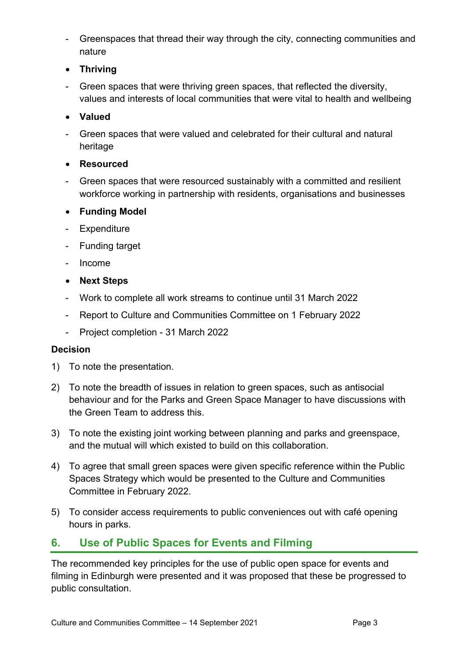- Greenspaces that thread their way through the city, connecting communities and nature
- **Thriving**
- Green spaces that were thriving green spaces, that reflected the diversity, values and interests of local communities that were vital to health and wellbeing
- **Valued**
- Green spaces that were valued and celebrated for their cultural and natural heritage
- **Resourced**
- Green spaces that were resourced sustainably with a committed and resilient workforce working in partnership with residents, organisations and businesses
- **Funding Model**
- Expenditure
- Funding target
- Income
- **Next Steps**
- Work to complete all work streams to continue until 31 March 2022
- Report to Culture and Communities Committee on 1 February 2022
- Project completion 31 March 2022

#### **Decision**

- 1) To note the presentation.
- 2) To note the breadth of issues in relation to green spaces, such as antisocial behaviour and for the Parks and Green Space Manager to have discussions with the Green Team to address this.
- 3) To note the existing joint working between planning and parks and greenspace, and the mutual will which existed to build on this collaboration.
- 4) To agree that small green spaces were given specific reference within the Public Spaces Strategy which would be presented to the Culture and Communities Committee in February 2022.
- 5) To consider access requirements to public conveniences out with café opening hours in parks.

## **6. Use of Public Spaces for Events and Filming**

The recommended key principles for the use of public open space for events and filming in Edinburgh were presented and it was proposed that these be progressed to public consultation.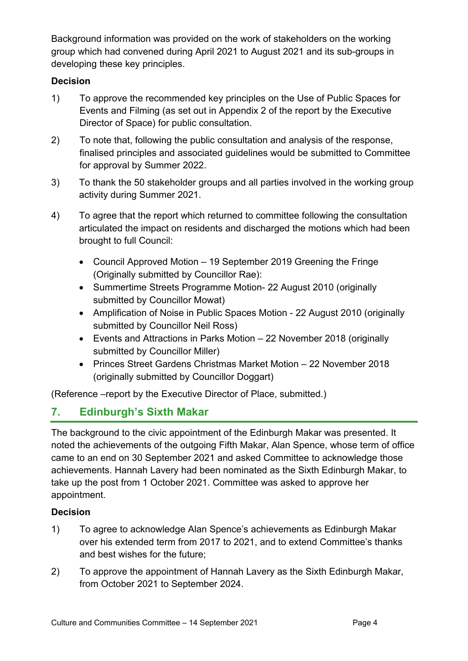Background information was provided on the work of stakeholders on the working group which had convened during April 2021 to August 2021 and its sub-groups in developing these key principles.

#### **Decision**

- 1) To approve the recommended key principles on the Use of Public Spaces for Events and Filming (as set out in Appendix 2 of the report by the Executive Director of Space) for public consultation.
- 2) To note that, following the public consultation and analysis of the response, finalised principles and associated guidelines would be submitted to Committee for approval by Summer 2022.
- 3) To thank the 50 stakeholder groups and all parties involved in the working group activity during Summer 2021.
- 4) To agree that the report which returned to committee following the consultation articulated the impact on residents and discharged the motions which had been brought to full Council:
	- Council Approved Motion 19 September 2019 Greening the Fringe (Originally submitted by Councillor Rae):
	- Summertime Streets Programme Motion- 22 August 2010 (originally submitted by Councillor Mowat)
	- Amplification of Noise in Public Spaces Motion 22 August 2010 (originally submitted by Councillor Neil Ross)
	- Events and Attractions in Parks Motion 22 November 2018 (originally submitted by Councillor Miller)
	- Princes Street Gardens Christmas Market Motion 22 November 2018 (originally submitted by Councillor Doggart)

(Reference –report by the Executive Director of Place, submitted.)

## **7. Edinburgh's Sixth Makar**

The background to the civic appointment of the Edinburgh Makar was presented. It noted the achievements of the outgoing Fifth Makar, Alan Spence, whose term of office came to an end on 30 September 2021 and asked Committee to acknowledge those achievements. Hannah Lavery had been nominated as the Sixth Edinburgh Makar, to take up the post from 1 October 2021. Committee was asked to approve her appointment.

## **Decision**

- 1) To agree to acknowledge Alan Spence's achievements as Edinburgh Makar over his extended term from 2017 to 2021, and to extend Committee's thanks and best wishes for the future;
- 2) To approve the appointment of Hannah Lavery as the Sixth Edinburgh Makar, from October 2021 to September 2024.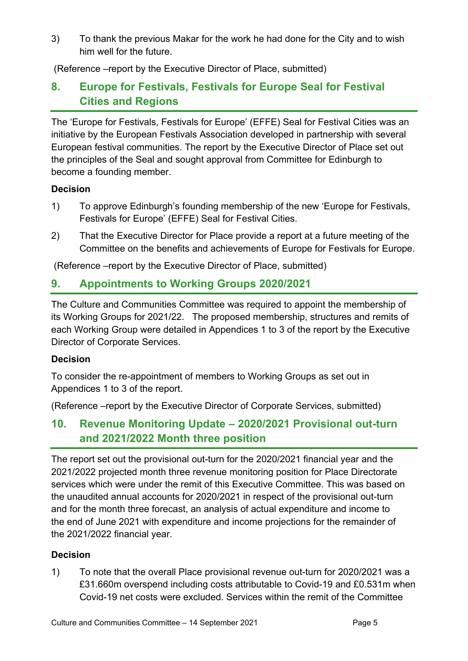3) To thank the previous Makar for the work he had done for the City and to wish him well for the future.

(Reference –report by the Executive Director of Place, submitted)

## **8. Europe for Festivals, Festivals for Europe Seal for Festival Cities and Regions**

The 'Europe for Festivals, Festivals for Europe' (EFFE) Seal for Festival Cities was an initiative by the European Festivals Association developed in partnership with several European festival communities. The report by the Executive Director of Place set out the principles of the Seal and sought approval from Committee for Edinburgh to become a founding member.

#### **Decision**

- 1) To approve Edinburgh's founding membership of the new 'Europe for Festivals, Festivals for Europe' (EFFE) Seal for Festival Cities.
- 2) That the Executive Director for Place provide a report at a future meeting of the Committee on the benefits and achievements of Europe for Festivals for Europe.

(Reference –report by the Executive Director of Place, submitted)

## **9. Appointments to Working Groups 2020/2021**

The Culture and Communities Committee was required to appoint the membership of its Working Groups for 2021/22. The proposed membership, structures and remits of each Working Group were detailed in Appendices 1 to 3 of the report by the Executive Director of Corporate Services.

#### **Decision**

To consider the re-appointment of members to Working Groups as set out in Appendices 1 to 3 of the report.

(Reference –report by the Executive Director of Corporate Services, submitted)

## **10. Revenue Monitoring Update – 2020/2021 Provisional out-turn and 2021/2022 Month three position**

The report set out the provisional out-turn for the 2020/2021 financial year and the 2021/2022 projected month three revenue monitoring position for Place Directorate services which were under the remit of this Executive Committee. This was based on the unaudited annual accounts for 2020/2021 in respect of the provisional out-turn and for the month three forecast, an analysis of actual expenditure and income to the end of June 2021 with expenditure and income projections for the remainder of the 2021/2022 financial year.

#### **Decision**

1) To note that the overall Place provisional revenue out-turn for 2020/2021 was a £31.660m overspend including costs attributable to Covid-19 and £0.531m when Covid-19 net costs were excluded. Services within the remit of the Committee